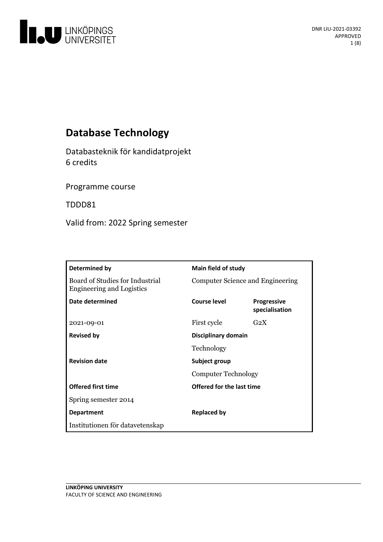

# **Database Technology**

Databasteknik för kandidatprojekt 6 credits

Programme course

TDDD81

Valid from: 2022 Spring semester

| <b>Determined by</b>                                                | Main field of study                         |                                      |
|---------------------------------------------------------------------|---------------------------------------------|--------------------------------------|
| Board of Studies for Industrial<br><b>Engineering and Logistics</b> | Computer Science and Engineering            |                                      |
| Date determined                                                     | Course level                                | <b>Progressive</b><br>specialisation |
| 2021-09-01                                                          | First cycle                                 | G <sub>2</sub> X                     |
| <b>Revised by</b>                                                   | Disciplinary domain                         |                                      |
|                                                                     | Technology                                  |                                      |
| <b>Revision date</b>                                                | Subject group<br><b>Computer Technology</b> |                                      |
|                                                                     |                                             |                                      |
| <b>Offered first time</b>                                           | Offered for the last time                   |                                      |
| Spring semester 2014                                                |                                             |                                      |
| <b>Department</b>                                                   | <b>Replaced by</b>                          |                                      |
| Institutionen för datavetenskap                                     |                                             |                                      |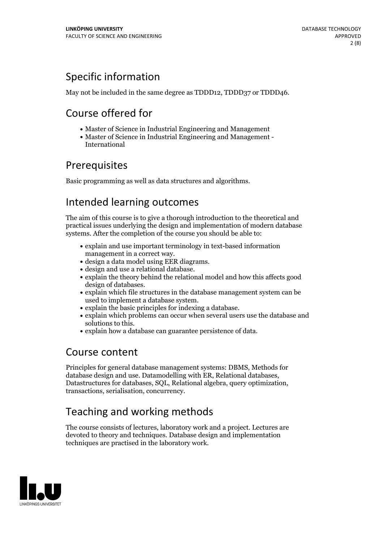# Specific information

May not be included in the same degree as TDDD12, TDDD37 or TDDD46.

# Course offered for

- Master of Science in Industrial Engineering and Management
- Master of Science in Industrial Engineering and Management International

# **Prerequisites**

Basic programming as well as data structures and algorithms.

# Intended learning outcomes

The aim of this course is to give a thorough introduction to the theoretical and practical issues underlying the design and implementation of modern database systems. After the completion of the course you should be able to:

- explain and use important terminology in text-based information
- 
- 
- management in a correct way.<br>
design a data model using EER diagrams.<br>
design and use a relational database.<br>
explain the theory behind the relational model and how this affects good
- design of databases.<br>• explain which file structures in the database management system can be used to implement a database system.
- 
- $\bullet$  explain the basic principles for indexing a database.  $\bullet$  explain which problems can occur when several users use the database and solutions to this.<br>• explain how a database can guarantee persistence of data.
- 

## Course content

Principles for general database management systems: DBMS, Methods for database design and use. Datamodelling with ER, Relational databases, Datastructures for databases, SQL, Relational algebra, query optimization, transactions, serialisation, concurrency.

# Teaching and working methods

The course consists of lectures, laboratory work and a project. Lectures are devoted to theory and techniques. Database design and implementation techniques are practised in the laboratory work.

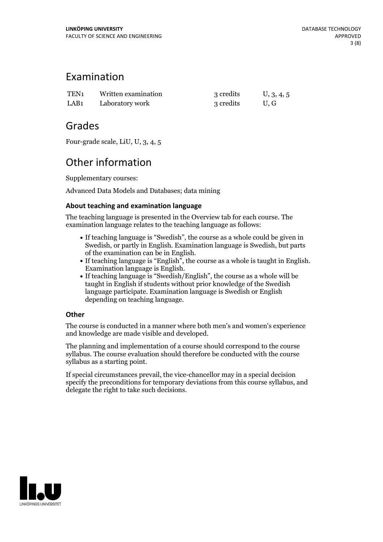## Examination

| TEN1 | Written examination | 3 credits | U, 3, 4, 5 |
|------|---------------------|-----------|------------|
| LAB1 | Laboratory work     | 3 credits | U.G        |

## Grades

Four-grade scale, LiU, U, 3, 4, 5

# Other information

Supplementary courses:

Advanced Data Models and Databases; data mining

## **About teaching and examination language**

The teaching language is presented in the Overview tab for each course. The examination language relates to the teaching language as follows:

- If teaching language is "Swedish", the course as a whole could be given in Swedish, or partly in English. Examination language is Swedish, but parts
- of the examination can be in English. If teaching language is "English", the course as <sup>a</sup> whole is taught in English. Examination language is English. If teaching language is "Swedish/English", the course as <sup>a</sup> whole will be
- taught in English if students without prior knowledge of the Swedish language participate. Examination language is Swedish or English depending on teaching language.

### **Other**

The course is conducted in a manner where both men's and women's experience and knowledge are made visible and developed.

The planning and implementation of a course should correspond to the course syllabus. The course evaluation should therefore be conducted with the course syllabus as a starting point.

If special circumstances prevail, the vice-chancellor may in a special decision specify the preconditions for temporary deviations from this course syllabus, and delegate the right to take such decisions.

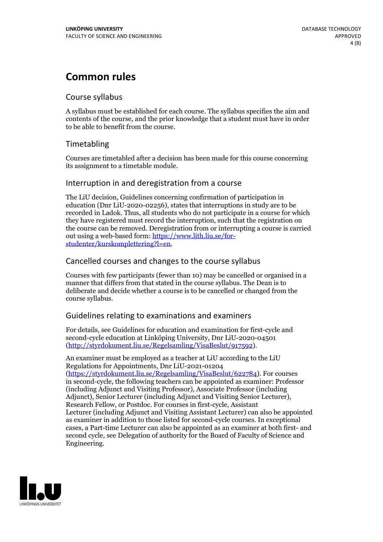# **Common rules**

## Course syllabus

A syllabus must be established for each course. The syllabus specifies the aim and contents of the course, and the prior knowledge that a student must have in order to be able to benefit from the course.

## Timetabling

Courses are timetabled after a decision has been made for this course concerning its assignment to a timetable module.

## Interruption in and deregistration from a course

The LiU decision, Guidelines concerning confirmation of participation in education (Dnr LiU-2020-02256), states that interruptions in study are to be recorded in Ladok. Thus, all students who do not participate in a course for which they have registered must record the interruption, such that the registration on the course can be removed. Deregistration from or interrupting a course is carried out using <sup>a</sup> web-based form: https://www.lith.liu.se/for- [studenter/kurskomplettering?l=en.](https://www.lith.liu.se/for-studenter/kurskomplettering?l=en)

## Cancelled courses and changes to the course syllabus

Courses with few participants (fewer than 10) may be cancelled or organised in a manner that differs from that stated in the course syllabus. The Dean is to deliberate and decide whether a course is to be cancelled or changed from the course syllabus.

## Guidelines relating to examinations and examiners

For details, see Guidelines for education and examination for first-cycle and second-cycle education at Linköping University, Dnr LiU-2020-04501 [\(http://styrdokument.liu.se/Regelsamling/VisaBeslut/917592\)](http://styrdokument.liu.se/Regelsamling/VisaBeslut/917592).

An examiner must be employed as a teacher at LiU according to the LiU Regulations for Appointments, Dnr LiU-2021-01204 [\(https://styrdokument.liu.se/Regelsamling/VisaBeslut/622784](https://styrdokument.liu.se/Regelsamling/VisaBeslut/622784)). For courses in second-cycle, the following teachers can be appointed as examiner: Professor (including Adjunct and Visiting Professor), Associate Professor (including Adjunct), Senior Lecturer (including Adjunct and Visiting Senior Lecturer), Research Fellow, or Postdoc. For courses in first-cycle, Assistant Lecturer (including Adjunct and Visiting Assistant Lecturer) can also be appointed as examiner in addition to those listed for second-cycle courses. In exceptional cases, a Part-time Lecturer can also be appointed as an examiner at both first- and second cycle, see Delegation of authority for the Board of Faculty of Science and Engineering.

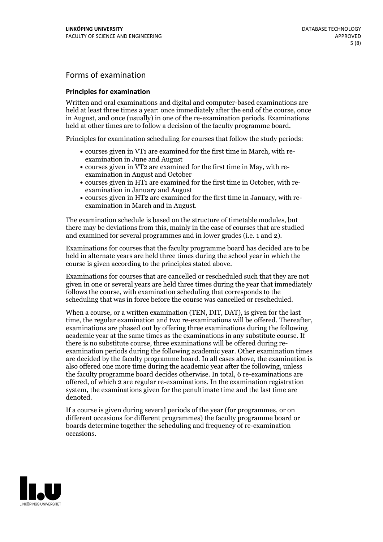## Forms of examination

#### **Principles for examination**

Written and oral examinations and digital and computer-based examinations are held at least three times a year: once immediately after the end of the course, once in August, and once (usually) in one of the re-examination periods. Examinations held at other times are to follow a decision of the faculty programme board.

Principles for examination scheduling for courses that follow the study periods:

- courses given in VT1 are examined for the first time in March, with re-examination in June and August
- courses given in VT2 are examined for the first time in May, with re-examination in August and October
- courses given in HT1 are examined for the first time in October, with re-examination in January and August
- courses given in HT2 are examined for the first time in January, with re-examination in March and in August.

The examination schedule is based on the structure of timetable modules, but there may be deviations from this, mainly in the case of courses that are studied and examined for several programmes and in lower grades (i.e. 1 and 2).

Examinations for courses that the faculty programme board has decided are to be held in alternate years are held three times during the school year in which the course is given according to the principles stated above.

Examinations for courses that are cancelled orrescheduled such that they are not given in one or several years are held three times during the year that immediately follows the course, with examination scheduling that corresponds to the scheduling that was in force before the course was cancelled or rescheduled.

When a course, or a written examination (TEN, DIT, DAT), is given for the last time, the regular examination and two re-examinations will be offered. Thereafter, examinations are phased out by offering three examinations during the following academic year at the same times as the examinations in any substitute course. If there is no substitute course, three examinations will be offered during re- examination periods during the following academic year. Other examination times are decided by the faculty programme board. In all cases above, the examination is also offered one more time during the academic year after the following, unless the faculty programme board decides otherwise. In total, 6 re-examinations are offered, of which 2 are regular re-examinations. In the examination registration system, the examinations given for the penultimate time and the last time are denoted.

If a course is given during several periods of the year (for programmes, or on different occasions for different programmes) the faculty programme board or boards determine together the scheduling and frequency of re-examination occasions.

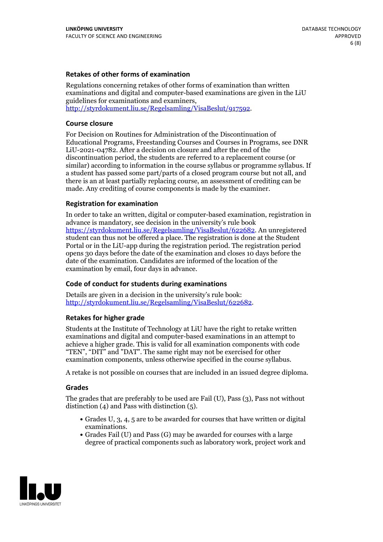### **Retakes of other forms of examination**

Regulations concerning retakes of other forms of examination than written examinations and digital and computer-based examinations are given in the LiU guidelines for examinations and examiners, [http://styrdokument.liu.se/Regelsamling/VisaBeslut/917592.](http://styrdokument.liu.se/Regelsamling/VisaBeslut/917592)

#### **Course closure**

For Decision on Routines for Administration of the Discontinuation of Educational Programs, Freestanding Courses and Courses in Programs, see DNR LiU-2021-04782. After a decision on closure and after the end of the discontinuation period, the students are referred to a replacement course (or similar) according to information in the course syllabus or programme syllabus. If a student has passed some part/parts of a closed program course but not all, and there is an at least partially replacing course, an assessment of crediting can be made. Any crediting of course components is made by the examiner.

#### **Registration for examination**

In order to take an written, digital or computer-based examination, registration in advance is mandatory, see decision in the university's rule book [https://styrdokument.liu.se/Regelsamling/VisaBeslut/622682.](https://styrdokument.liu.se/Regelsamling/VisaBeslut/622682) An unregistered student can thus not be offered a place. The registration is done at the Student Portal or in the LiU-app during the registration period. The registration period opens 30 days before the date of the examination and closes 10 days before the date of the examination. Candidates are informed of the location of the examination by email, four days in advance.

#### **Code of conduct for students during examinations**

Details are given in a decision in the university's rule book: <http://styrdokument.liu.se/Regelsamling/VisaBeslut/622682>.

#### **Retakes for higher grade**

Students at the Institute of Technology at LiU have the right to retake written examinations and digital and computer-based examinations in an attempt to achieve a higher grade. This is valid for all examination components with code "TEN", "DIT" and "DAT". The same right may not be exercised for other examination components, unless otherwise specified in the course syllabus.

A retake is not possible on courses that are included in an issued degree diploma.

#### **Grades**

The grades that are preferably to be used are Fail (U), Pass (3), Pass not without distinction  $(4)$  and Pass with distinction  $(5)$ .

- Grades U, 3, 4, 5 are to be awarded for courses that have written or digital examinations.<br>• Grades Fail (U) and Pass (G) may be awarded for courses with a large
- degree of practical components such as laboratory work, project work and

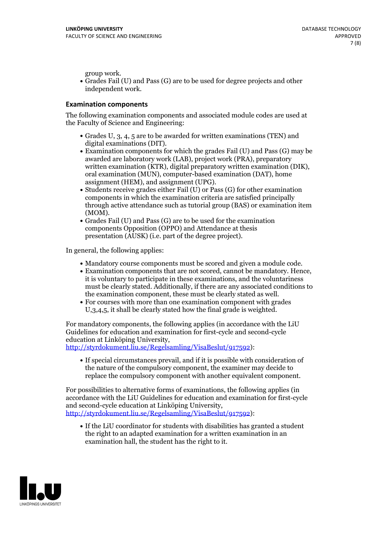group work.<br>• Grades Fail (U) and Pass (G) are to be used for degree projects and other independent work.

### **Examination components**

The following examination components and associated module codes are used at the Faculty of Science and Engineering:

- Grades U, 3, 4, 5 are to be awarded for written examinations (TEN) and
- digital examinations (DIT).<br>• Examination components for which the grades Fail (U) and Pass (G) may be awarded are laboratory work (LAB), project work (PRA), preparatory written examination (KTR), digital preparatory written examination (DIK), oral examination (MUN), computer-based examination (DAT), home
- assignment (HEM), and assignment (UPG).<br>• Students receive grades either Fail (U) or Pass (G) for other examination components in which the examination criteria are satisfied principally through active attendance such as tutorial group (BAS) or examination item
- (MOM).<br>• Grades Fail (U) and Pass (G) are to be used for the examination components Opposition (OPPO) and Attendance at thesis presentation (AUSK) (i.e. part of the degree project).

In general, the following applies:

- 
- Mandatory course components must be scored and given <sup>a</sup> module code. Examination components that are not scored, cannot be mandatory. Hence, it is voluntary to participate in these examinations, and the voluntariness must be clearly stated. Additionally, if there are any associated conditions to
- the examination component, these must be clearly stated as well.<br>• For courses with more than one examination component with grades U,3,4,5, it shall be clearly stated how the final grade is weighted.

For mandatory components, the following applies (in accordance with the LiU Guidelines for education and examination for first-cycle and second-cycle education at Linköping University,<br>[http://styrdokument.liu.se/Regelsamling/VisaBeslut/917592\)](http://styrdokument.liu.se/Regelsamling/VisaBeslut/917592):

If special circumstances prevail, and if it is possible with consideration of the nature of the compulsory component, the examiner may decide to replace the compulsory component with another equivalent component.

For possibilities to alternative forms of examinations, the following applies (in accordance with the LiU Guidelines for education and examination for first-cycle [http://styrdokument.liu.se/Regelsamling/VisaBeslut/917592\)](http://styrdokument.liu.se/Regelsamling/VisaBeslut/917592):

If the LiU coordinator for students with disabilities has granted a student the right to an adapted examination for a written examination in an examination hall, the student has the right to it.